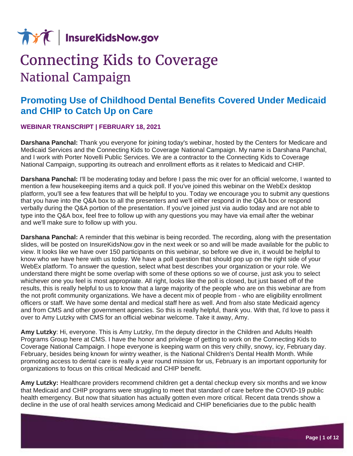

## **Connecting Kids to Coverage National Campaign**

## **Promoting Use of Childhood Dental Benefits Covered Under Medicaid and CHIP to Catch Up on Care**

## **WEBINAR TRANSCRIPT | FEBRUARY 18, 2021**

**Darshana Panchal:** Thank you everyone for joining today's webinar, hosted by the Centers for Medicare and Medicaid Services and the Connecting Kids to Coverage National Campaign. My name is Darshana Panchal, and I work with Porter Novelli Public Services. We are a contractor to the Connecting Kids to Coverage National Campaign, supporting its outreach and enrollment efforts as it relates to Medicaid and CHIP.

**Darshana Panchal:** I'll be moderating today and before I pass the mic over for an official welcome, I wanted to mention a few housekeeping items and a quick poll. If you've joined this webinar on the WebEx desktop platform, you'll see a few features that will be helpful to you. Today we encourage you to submit any questions that you have into the Q&A box to all the presenters and we'll either respond in the Q&A box or respond verbally during the Q&A portion of the presentation. If you've joined just via audio today and are not able to type into the Q&A box, feel free to follow up with any questions you may have via email after the webinar and we'll make sure to follow up with you.

**Darshana Panchal:** A reminder that this webinar is being recorded. The recording, along with the presentation slides, will be posted on InsureKidsNow.gov in the next week or so and will be made available for the public to view. It looks like we have over 150 participants on this webinar, so before we dive in, it would be helpful to know who we have here with us today. We have a poll question that should pop up on the right side of your WebEx platform. To answer the question, select what best describes your organization or your role. We understand there might be some overlap with some of these options so we of course, just ask you to select whichever one you feel is most appropriate. All right, looks like the poll is closed, but just based off of the results, this is really helpful to us to know that a large majority of the people who are on this webinar are from the not profit community organizations. We have a decent mix of people from - who are eligibility enrollment officers or staff. We have some dental and medical staff here as well. And from also state Medicaid agency and from CMS and other government agencies. So this is really helpful, thank you. With that, I'd love to pass it over to Amy Lutzky with CMS for an official webinar welcome. Take it away, Amy.

**Amy Lutzky**: Hi, everyone. This is Amy Lutzky, I'm the deputy director in the Children and Adults Health Programs Group here at CMS. I have the honor and privilege of getting to work on the Connecting Kids to Coverage National Campaign. I hope everyone is keeping warm on this very chilly, snowy, icy, February day. February, besides being known for wintry weather, is the National Children's Dental Health Month. While promoting access to dental care is really a year round mission for us, February is an important opportunity for organizations to focus on this critical Medicaid and CHIP benefit.

**Amy Lutzky:** Healthcare providers recommend children get a dental checkup every six months and we know that Medicaid and CHIP programs were struggling to meet that standard of care before the COVID-19 public health emergency. But now that situation has actually gotten even more critical. Recent data trends show a decline in the use of oral health services among Medicaid and CHIP beneficiaries due to the public health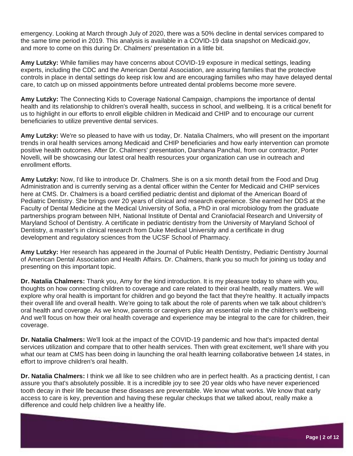emergency. Looking at March through July of 2020, there was a 50% decline in dental services compared to the same time period in 2019. This analysis is available in a COVID-19 data snapshot on Medicaid.gov, and more to come on this during Dr. Chalmers' presentation in a little bit.

**Amy Lutzky:** While families may have concerns about COVID-19 exposure in medical settings, leading experts, including the CDC and the American Dental Association, are assuring families that the protective controls in place in dental settings do keep risk low and are encouraging families who may have delayed dental care, to catch up on missed appointments before untreated dental problems become more severe.

**Amy Lutzky:** The Connecting Kids to Coverage National Campaign, champions the importance of dental health and its relationship to children's overall health, success in school, and wellbeing. It is a critical benefit for us to highlight in our efforts to enroll eligible children in Medicaid and CHIP and to encourage our current beneficiaries to utilize preventive dental services.

**Amy Lutzky:** We're so pleased to have with us today, Dr. Natalia Chalmers, who will present on the important trends in oral health services among Medicaid and CHIP beneficiaries and how early intervention can promote positive health outcomes. After Dr. Chalmers' presentation, Darshana Panchal, from our contractor, Porter Novelli, will be showcasing our latest oral health resources your organization can use in outreach and enrollment efforts.

**Amy Lutzky:** Now, I'd like to introduce Dr. Chalmers. She is on a six month detail from the Food and Drug Administration and is currently serving as a dental officer within the Center for Medicaid and CHIP services here at CMS. Dr. Chalmers is a board certified pediatric dentist and diplomat of the American Board of Pediatric Dentistry. She brings over 20 years of clinical and research experience. She earned her DDS at the Faculty of Dental Medicine at the Medical University of Sofia, a PhD in oral microbiology from the graduate partnerships program between NIH, National Institute of Dental and Craniofacial Research and University of Maryland School of Dentistry. A certificate in pediatric dentistry from the University of Maryland School of Dentistry, a master's in clinical research from Duke Medical University and a certificate in drug development and regulatory sciences from the UCSF School of Pharmacy.

**Amy Lutzky:** Her research has appeared in the Journal of Public Health Dentistry, Pediatric Dentistry Journal of American Dental Association and Health Affairs. Dr. Chalmers, thank you so much for joining us today and presenting on this important topic.

**Dr. Natalia Chalmers:** Thank you, Amy for the kind introduction. It is my pleasure today to share with you, thoughts on how connecting children to coverage and care related to their oral health, really matters. We will explore why oral health is important for children and go beyond the fact that they're healthy. It actually impacts their overall life and overall health. We're going to talk about the role of parents when we talk about children's oral health and coverage. As we know, parents or caregivers play an essential role in the children's wellbeing. And we'll focus on how their oral health coverage and experience may be integral to the care for children, their coverage.

**Dr. Natalia Chalmers:** We'll look at the impact of the COVID-19 pandemic and how that's impacted dental services utilization and compare that to other health services. Then with great excitement, we'll share with you what our team at CMS has been doing in launching the oral health learning collaborative between 14 states, in effort to improve children's oral health.

**Dr. Natalia Chalmers:** I think we all like to see children who are in perfect health. As a practicing dentist, I can assure you that's absolutely possible. It is a incredible joy to see 20 year olds who have never experienced tooth decay in their life because these diseases are preventable. We know what works. We know that early access to care is key, prevention and having these regular checkups that we talked about, really make a difference and could help children live a healthy life.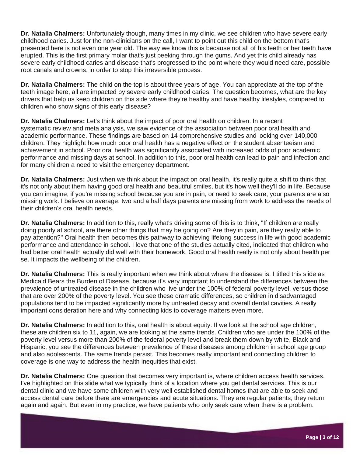**Dr. Natalia Chalmers:** Unfortunately though, many times in my clinic, we see children who have severe early childhood caries. Just for the non-clinicians on the call, I want to point out this child on the bottom that's presented here is not even one year old. The way we know this is because not all of his teeth or her teeth have erupted. This is the first primary molar that's just peeking through the gums. And yet this child already has severe early childhood caries and disease that's progressed to the point where they would need care, possible root canals and crowns, in order to stop this irreversible process.

**Dr. Natalia Chalmers:** The child on the top is about three years of age. You can appreciate at the top of the teeth image here, all are impacted by severe early childhood caries. The question becomes, what are the key drivers that help us keep children on this side where they're healthy and have healthy lifestyles, compared to children who show signs of this early disease?

**Dr. Natalia Chalmers:** Let's think about the impact of poor oral health on children. In a recent systematic review and meta analysis, we saw evidence of the association between poor oral health and academic performance. These findings are based on 14 comprehensive studies and looking over 140,000 children. They highlight how much poor oral health has a negative effect on the student absenteeism and achievement in school. Poor oral health was significantly associated with increased odds of poor academic performance and missing days at school. In addition to this, poor oral health can lead to pain and infection and for many children a need to visit the emergency department.

**Dr. Natalia Chalmers:** Just when we think about the impact on oral health, it's really quite a shift to think that it's not only about them having good oral health and beautiful smiles, but it's how well they'll do in life. Because you can imagine, if you're missing school because you are in pain, or need to seek care, your parents are also missing work. I believe on average, two and a half days parents are missing from work to address the needs of their children's oral health needs.

**Dr. Natalia Chalmers:** In addition to this, really what's driving some of this is to think, "If children are really doing poorly at school, are there other things that may be going on? Are they in pain, are they really able to pay attention?" Oral health then becomes this pathway to achieving lifelong success in life with good academic performance and attendance in school. I love that one of the studies actually cited, indicated that children who had better oral health actually did well with their homework. Good oral health really is not only about health per se. It impacts the wellbeing of the children.

**Dr. Natalia Chalmers:** This is really important when we think about where the disease is. I titled this slide as Medicaid Bears the Burden of Disease, because it's very important to understand the differences between the prevalence of untreated disease in the children who live under the 100% of federal poverty level, versus those that are over 200% of the poverty level. You see these dramatic differences, so children in disadvantaged populations tend to be impacted significantly more by untreated decay and overall dental cavities. A really important consideration here and why connecting kids to coverage matters even more.

**Dr. Natalia Chalmers:** In addition to this, oral health is about equity. If we look at the school age children, these are children six to 11, again, we are looking at the same trends. Children who are under the 100% of the poverty level versus more than 200% of the federal poverty level and break them down by white, Black and Hispanic, you see the differences between prevalence of these diseases among children in school age group and also adolescents. The same trends persist. This becomes really important and connecting children to coverage is one way to address the health inequities that exist.

**Dr. Natalia Chalmers:** One question that becomes very important is, where children access health services. I've highlighted on this slide what we typically think of a location where you get dental services. This is our dental clinic and we have some children with very well established dental homes that are able to seek and access dental care before there are emergencies and acute situations. They are regular patients, they return again and again. But even in my practice, we have patients who only seek care when there is a problem.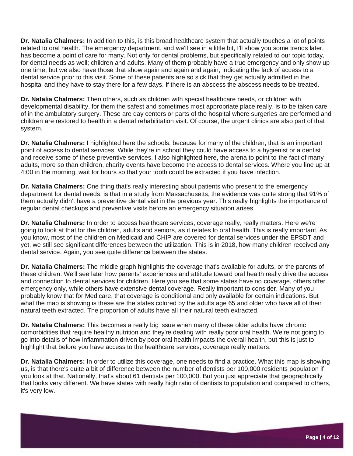**Dr. Natalia Chalmers:** In addition to this, is this broad healthcare system that actually touches a lot of points related to oral health. The emergency department, and we'll see in a little bit, I'll show you some trends later, has become a point of care for many. Not only for dental problems, but specifically related to our topic today, for dental needs as well; children and adults. Many of them probably have a true emergency and only show up one time, but we also have those that show again and again and again, indicating the lack of access to a dental service prior to this visit. Some of these patients are so sick that they get actually admitted in the hospital and they have to stay there for a few days. If there is an abscess the abscess needs to be treated.

**Dr. Natalia Chalmers:** Then others, such as children with special healthcare needs, or children with developmental disability, for them the safest and sometimes most appropriate place really, is to be taken care of in the ambulatory surgery. These are day centers or parts of the hospital where surgeries are performed and children are restored to health in a dental rehabilitation visit. Of course, the urgent clinics are also part of that system.

**Dr. Natalia Chalmers:** I highlighted here the schools, because for many of the children, that is an important point of access to dental services. While they're in school they could have access to a hygienist or a dentist and receive some of these preventive services. I also highlighted here, the arena to point to the fact of many adults, more so than children, charity events have become the access to dental services. Where you line up at 4:00 in the morning, wait for hours so that your tooth could be extracted if you have infection.

**Dr. Natalia Chalmers:** One thing that's really interesting about patients who present to the emergency department for dental needs, is that in a study from Massachusetts, the evidence was quite strong that 91% of them actually didn't have a preventive dental visit in the previous year. This really highlights the importance of regular dental checkups and preventive visits before an emergency situation arises.

**Dr. Natalia Chalmers:** In order to access healthcare services, coverage really, really matters. Here we're going to look at that for the children, adults and seniors, as it relates to oral health. This is really important. As you know, most of the children on Medicaid and CHIP are covered for dental services under the EPSDT and yet, we still see significant differences between the utilization. This is in 2018, how many children received any dental service. Again, you see quite difference between the states.

**Dr. Natalia Chalmers:** The middle graph highlights the coverage that's available for adults, or the parents of these children. We'll see later how parents' experiences and attitude toward oral health really drive the access and connection to dental services for children. Here you see that some states have no coverage, others offer emergency only, while others have extensive dental coverage. Really important to consider. Many of you probably know that for Medicare, that coverage is conditional and only available for certain indications. But what the map is showing is these are the states colored by the adults age 65 and older who have all of their natural teeth extracted. The proportion of adults have all their natural teeth extracted.

**Dr. Natalia Chalmers:** This becomes a really big issue when many of these older adults have chronic comorbidities that require healthy nutrition and they're dealing with really poor oral health. We're not going to go into details of how inflammation driven by poor oral health impacts the overall health, but this is just to highlight that before you have access to the healthcare services, coverage really matters.

**Dr. Natalia Chalmers:** In order to utilize this coverage, one needs to find a practice. What this map is showing us, is that there's quite a bit of difference between the number of dentists per 100,000 residents population if you look at that. Nationally, that's about 61 dentists per 100,000. But you just appreciate that geographically that looks very different. We have states with really high ratio of dentists to population and compared to others, it's very low.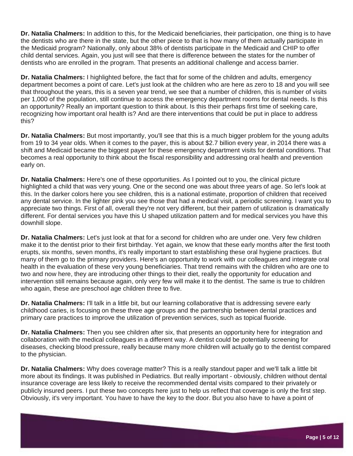**Dr. Natalia Chalmers:** In addition to this, for the Medicaid beneficiaries, their participation, one thing is to have the dentists who are there in the state, but the other piece to that is how many of them actually participate in the Medicaid program? Nationally, only about 38% of dentists participate in the Medicaid and CHIP to offer child dental services. Again, you just will see that there is difference between the states for the number of dentists who are enrolled in the program. That presents an additional challenge and access barrier.

**Dr. Natalia Chalmers:** I highlighted before, the fact that for some of the children and adults, emergency department becomes a point of care. Let's just look at the children who are here as zero to 18 and you will see that throughout the years, this is a seven year trend, we see that a number of children, this is number of visits per 1,000 of the population, still continue to access the emergency department rooms for dental needs. Is this an opportunity? Really an important question to think about. Is this their perhaps first time of seeking care, recognizing how important oral health is? And are there interventions that could be put in place to address this?

**Dr. Natalia Chalmers:** But most importantly, you'll see that this is a much bigger problem for the young adults from 19 to 34 year olds. When it comes to the payer, this is about \$2.7 billion every year, in 2014 there was a shift and Medicaid became the biggest payer for these emergency department visits for dental conditions. That becomes a real opportunity to think about the fiscal responsibility and addressing oral health and prevention early on.

**Dr. Natalia Chalmers:** Here's one of these opportunities. As I pointed out to you, the clinical picture highlighted a child that was very young. One or the second one was about three years of age. So let's look at this. In the darker colors here you see children, this is a national estimate, proportion of children that received any dental service. In the lighter pink you see those that had a medical visit, a periodic screening. I want you to appreciate two things. First of all, overall they're not very different, but their pattern of utilization is dramatically different. For dental services you have this U shaped utilization pattern and for medical services you have this downhill slope.

**Dr. Natalia Chalmers:** Let's just look at that for a second for children who are under one. Very few children make it to the dentist prior to their first birthday. Yet again, we know that these early months after the first tooth erupts, six months, seven months, it's really important to start establishing these oral hygiene practices. But many of them go to the primary providers. Here's an opportunity to work with our colleagues and integrate oral health in the evaluation of these very young beneficiaries. That trend remains with the children who are one to two and now here, they are introducing other things to their diet, really the opportunity for education and intervention still remains because again, only very few will make it to the dentist. The same is true to children who again, these are preschool age children three to five.

**Dr. Natalia Chalmers:** I'll talk in a little bit, but our learning collaborative that is addressing severe early childhood caries, is focusing on these three age groups and the partnership between dental practices and primary care practices to improve the utilization of prevention services, such as topical fluoride.

**Dr. Natalia Chalmers:** Then you see children after six, that presents an opportunity here for integration and collaboration with the medical colleagues in a different way. A dentist could be potentially screening for diseases, checking blood pressure, really because many more children will actually go to the dentist compared to the physician.

**Dr. Natalia Chalmers:** Why does coverage matter? This is a really standout paper and we'll talk a little bit more about its findings. It was published in Pediatrics. But really important - obviously, children without dental insurance coverage are less likely to receive the recommended dental visits compared to their privately or publicly insured peers. I put these two concepts here just to help us reflect that coverage is only the first step. Obviously, it's very important. You have to have the key to the door. But you also have to have a point of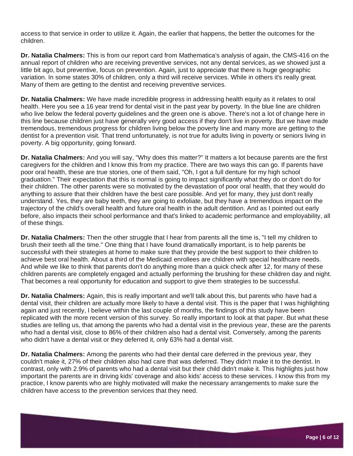access to that service in order to utilize it. Again, the earlier that happens, the better the outcomes for the children.

**Dr. Natalia Chalmers:** This is from our report card from Mathematica's analysis of again, the CMS-416 on the annual report of children who are receiving preventive services, not any dental services, as we showed just a little bit ago, but preventive, focus on prevention. Again, just to appreciate that there is huge geographic variation. In some states 30% of children, only a third will receive services. While in others it's really great. Many of them are getting to the dentist and receiving preventive services.

**Dr. Natalia Chalmers:** We have made incredible progress in addressing health equity as it relates to oral health. Here you see a 16 year trend for dental visit in the past year by poverty. In the blue line are children who live below the federal poverty guidelines and the green one is above. There's not a lot of change here in this line because children just have generally very good access if they don't live in poverty. But we have made tremendous, tremendous progress for children living below the poverty line and many more are getting to the dentist for a prevention visit. That trend unfortunately, is not true for adults living in poverty or seniors living in poverty. A big opportunity, going forward.

**Dr. Natalia Chalmers:** And you will say, "Why does this matter?" It matters a lot because parents are the first caregivers for the children and I know this from my practice. There are two ways this can go. If parents have poor oral health, these are true stories, one of them said, "Oh, I got a full denture for my high school graduation." Their expectation that this is normal is going to impact significantly what they do or don't do for their children. The other parents were so motivated by the devastation of poor oral health, that they would do anything to assure that their children have the best care possible. And yet for many, they just don't really understand. Yes, they are baby teeth, they are going to exfoliate, but they have a tremendous impact on the trajectory of the child's overall health and future oral health in the adult dentition. And as I pointed out early before, also impacts their school performance and that's linked to academic performance and employability, all of these things.

**Dr. Natalia Chalmers:** Then the other struggle that I hear from parents all the time is, "I tell my children to brush their teeth all the time." One thing that I have found dramatically important, is to help parents be successful with their strategies at home to make sure that they provide the best support to their children to achieve best oral health. About a third of the Medicaid enrollees are children with special healthcare needs. And while we like to think that parents don't do anything more than a quick check after 12, for many of these children parents are completely engaged and actually performing the brushing for these children day and night. That becomes a real opportunity for education and support to give them strategies to be successful.

**Dr. Natalia Chalmers:** Again, this is really important and we'll talk about this, but parents who have had a dental visit, their children are actually more likely to have a dental visit. This is the paper that I was highlighting again and just recently, I believe within the last couple of months, the findings of this study have been replicated with the more recent version of this survey. So really important to look at that paper. But what these studies are telling us, that among the parents who had a dental visit in the previous year, these are the parents who had a dental visit, close to 86% of their children also had a dental visit. Conversely, among the parents who didn't have a dental visit or they deferred it, only 63% had a dental visit.

**Dr. Natalia Chalmers:** Among the parents who had their dental care deferred in the previous year, they couldn't make it, 27% of their children also had care that was deferred. They didn't make it to the dentist. In contrast, only with 2.9% of parents who had a dental visit but their child didn't make it. This highlights just how important the parents are in driving kids' coverage and also kids' access to these services. I know this from my practice, I know parents who are highly motivated will make the necessary arrangements to make sure the children have access to the prevention services that they need.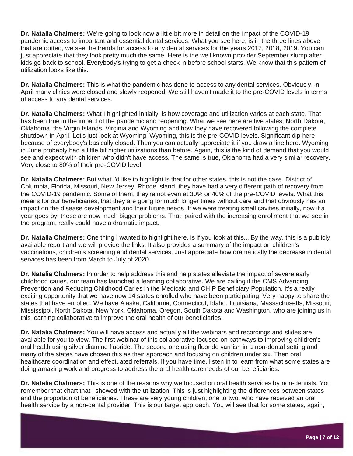**Dr. Natalia Chalmers:** We're going to look now a little bit more in detail on the impact of the COVID-19 pandemic access to important and essential dental services. What you see here, is in the three lines above that are dotted, we see the trends for access to any dental services for the years 2017, 2018, 2019. You can just appreciate that they look pretty much the same. Here is the well known provider September slump after kids go back to school. Everybody's trying to get a check in before school starts. We know that this pattern of utilization looks like this.

**Dr. Natalia Chalmers:** This is what the pandemic has done to access to any dental services. Obviously, in April many clinics were closed and slowly reopened. We still haven't made it to the pre-COVID levels in terms of access to any dental services.

**Dr. Natalia Chalmers:** What I highlighted initially, is how coverage and utilization varies at each state. That has been true in the impact of the pandemic and reopening. What we see here are five states; North Dakota, Oklahoma, the Virgin Islands, Virginia and Wyoming and how they have recovered following the complete shutdown in April. Let's just look at Wyoming. Wyoming, this is the pre-COVID levels. Significant dip here because of everybody's basically closed. Then you can actually appreciate it if you draw a line here. Wyoming in June probably had a little bit higher utilizations than before. Again, this is the kind of demand that you would see and expect with children who didn't have access. The same is true, Oklahoma had a very similar recovery. Very close to 80% of their pre-COVID level.

**Dr. Natalia Chalmers:** But what I'd like to highlight is that for other states, this is not the case. District of Columbia, Florida, Missouri, New Jersey, Rhode Island, they have had a very different path of recovery from the COVID-19 pandemic. Some of them, they're not even at 30% or 40% of the pre-COVID levels. What this means for our beneficiaries, that they are going for much longer times without care and that obviously has an impact on the disease development and their future needs. If we were treating small cavities initially, now if a year goes by, these are now much bigger problems. That, paired with the increasing enrollment that we see in the program, really could have a dramatic impact.

**Dr. Natalia Chalmers:** One thing I wanted to highlight here, is if you look at this... By the way, this is a publicly available report and we will provide the links. It also provides a summary of the impact on children's vaccinations, children's screening and dental services. Just appreciate how dramatically the decrease in dental services has been from March to July of 2020.

**Dr. Natalia Chalmers:** In order to help address this and help states alleviate the impact of severe early childhood caries, our team has launched a learning collaborative. We are calling it the CMS Advancing Prevention and Reducing Childhood Caries in the Medicaid and CHIP Beneficiary Population. It's a really exciting opportunity that we have now 14 states enrolled who have been participating. Very happy to share the states that have enrolled. We have Alaska, California, Connecticut, Idaho, Louisiana, Massachusetts, Missouri, Mississippi, North Dakota, New York, Oklahoma, Oregon, South Dakota and Washington, who are joining us in this learning collaborative to improve the oral health of our beneficiaries.

**Dr. Natalia Chalmers:** You will have access and actually all the webinars and recordings and slides are available for you to view. The first webinar of this collaborative focused on pathways to improving children's oral health using silver diamine fluoride. The second one using fluoride varnish in a non-dental setting and many of the states have chosen this as their approach and focusing on children under six. Then oral healthcare coordination and effectuated referrals. If you have time, listen in to learn from what some states are doing amazing work and progress to address the oral health care needs of our beneficiaries.

**Dr. Natalia Chalmers:** This is one of the reasons why we focused on oral health services by non-dentists. You remember that chart that I showed with the utilization. This is just highlighting the differences between states and the proportion of beneficiaries. These are very young children; one to two, who have received an oral health service by a non-dental provider. This is our target approach. You will see that for some states, again,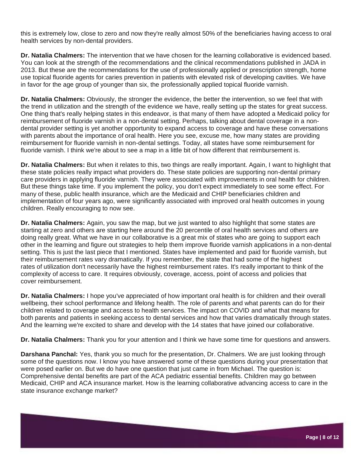this is extremely low, close to zero and now they're really almost 50% of the beneficiaries having access to oral health services by non-dental providers.

**Dr. Natalia Chalmers:** The intervention that we have chosen for the learning collaborative is evidenced based. You can look at the strength of the recommendations and the clinical recommendations published in JADA in 2013. But these are the recommendations for the use of professionally applied or prescription strength, home use topical fluoride agents for caries prevention in patients with elevated risk of developing cavities. We have in favor for the age group of younger than six, the professionally applied topical fluoride varnish.

**Dr. Natalia Chalmers:** Obviously, the stronger the evidence, the better the intervention, so we feel that with the trend in utilization and the strength of the evidence we have, really setting up the states for great success. One thing that's really helping states in this endeavor, is that many of them have adopted a Medicaid policy for reimbursement of fluoride varnish in a non-dental setting. Perhaps, talking about dental coverage in a nondental provider setting is yet another opportunity to expand access to coverage and have these conversations with parents about the importance of oral health. Here you see, excuse me, how many states are providing reimbursement for fluoride varnish in non-dental settings. Today, all states have some reimbursement for fluoride varnish. I think we're about to see a map in a little bit of how different that reimbursement is.

**Dr. Natalia Chalmers:** But when it relates to this, two things are really important. Again, I want to highlight that these state policies really impact what providers do. These state policies are supporting non-dental primary care providers in applying fluoride varnish. They were associated with improvements in oral health for children. But these things take time. If you implement the policy, you don't expect immediately to see some effect. For many of these, public health insurance, which are the Medicaid and CHIP beneficiaries children and implementation of four years ago, were significantly associated with improved oral health outcomes in young children. Really encouraging to now see.

**Dr. Natalia Chalmers:** Again, you saw the map, but we just wanted to also highlight that some states are starting at zero and others are starting here around the 20 percentile of oral health services and others are doing really great. What we have in our collaborative is a great mix of states who are going to support each other in the learning and figure out strategies to help them improve fluoride varnish applications in a non-dental setting. This is just the last piece that I mentioned. States have implemented and paid for fluoride varnish, but their reimbursement rates vary dramatically. If you remember, the state that had some of the highest rates of utilization don't necessarily have the highest reimbursement rates. It's really important to think of the complexity of access to care. It requires obviously, coverage, access, point of access and policies that cover reimbursement.

**Dr. Natalia Chalmers:** I hope you've appreciated of how important oral health is for children and their overall wellbeing, their school performance and lifelong health. The role of parents and what parents can do for their children related to coverage and access to health services. The impact on COVID and what that means for both parents and patients in seeking access to dental services and how that varies dramatically through states. And the learning we're excited to share and develop with the 14 states that have joined our collaborative.

**Dr. Natalia Chalmers:** Thank you for your attention and I think we have some time for questions and answers.

**Darshana Panchal:** Yes, thank you so much for the presentation, Dr. Chalmers. We are just looking through some of the questions now. I know you have answered some of these questions during your presentation that were posed earlier on. But we do have one question that just came in from Michael. The question is: Comprehensive dental benefits are part of the ACA pediatric essential benefits. Children may go between Medicaid, CHIP and ACA insurance market. How is the learning collaborative advancing access to care in the state insurance exchange market?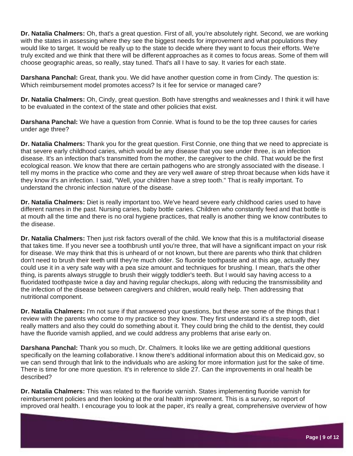**Dr. Natalia Chalmers:** Oh, that's a great question. First of all, you're absolutely right. Second, we are working with the states in assessing where they see the biggest needs for improvement and what populations they would like to target. It would be really up to the state to decide where they want to focus their efforts. We're truly excited and we think that there will be different approaches as it comes to focus areas. Some of them will choose geographic areas, so really, stay tuned. That's all I have to say. It varies for each state.

**Darshana Panchal:** Great, thank you. We did have another question come in from Cindy. The question is: Which reimbursement model promotes access? Is it fee for service or managed care?

**Dr. Natalia Chalmers:** Oh, Cindy, great question. Both have strengths and weaknesses and I think it will have to be evaluated in the context of the state and other policies that exist.

**Darshana Panchal:** We have a question from Connie. What is found to be the top three causes for caries under age three?

**Dr. Natalia Chalmers:** Thank you for the great question. First Connie, one thing that we need to appreciate is that severe early childhood caries, which would be any disease that you see under three, is an infection disease. It's an infection that's transmitted from the mother, the caregiver to the child. That would be the first ecological reason. We know that there are certain pathogens who are strongly associated with the disease. I tell my moms in the practice who come and they are very well aware of strep throat because when kids have it they know it's an infection. I said, "Well, your children have a strep tooth." That is really important. To understand the chronic infection nature of the disease.

**Dr. Natalia Chalmers:** Diet is really important too. We've heard severe early childhood caries used to have different names in the past. Nursing caries, baby bottle caries. Children who constantly feed and that bottle is at mouth all the time and there is no oral hygiene practices, that really is another thing we know contributes to the disease.

**Dr. Natalia Chalmers:** Then just risk factors overall of the child. We know that this is a multifactorial disease that takes time. If you never see a toothbrush until you're three, that will have a significant impact on your risk for disease. We may think that this is unheard of or not known, but there are parents who think that children don't need to brush their teeth until they're much older. So fluoride toothpaste and at this age, actually they could use it in a very safe way with a pea size amount and techniques for brushing. I mean, that's the other thing, is parents always struggle to brush their wiggly toddler's teeth. But I would say having access to a fluoridated toothpaste twice a day and having regular checkups, along with reducing the transmissibility and the infection of the disease between caregivers and children, would really help. Then addressing that nutritional component.

**Dr. Natalia Chalmers:** I'm not sure if that answered your questions, but these are some of the things that I review with the parents who come to my practice so they know. They first understand it's a strep tooth, diet really matters and also they could do something about it. They could bring the child to the dentist, they could have the fluoride varnish applied, and we could address any problems that arise early on.

**Darshana Panchal:** Thank you so much, Dr. Chalmers. It looks like we are getting additional questions specifically on the learning collaborative. I know there's additional information about this on Medicaid.gov, so we can send through that link to the individuals who are asking for more information just for the sake of time. There is time for one more question. It's in reference to slide 27. Can the improvements in oral health be described?

**Dr. Natalia Chalmers:** This was related to the fluoride varnish. States implementing fluoride varnish for reimbursement policies and then looking at the oral health improvement. This is a survey, so report of improved oral health. I encourage you to look at the paper, it's really a great, comprehensive overview of how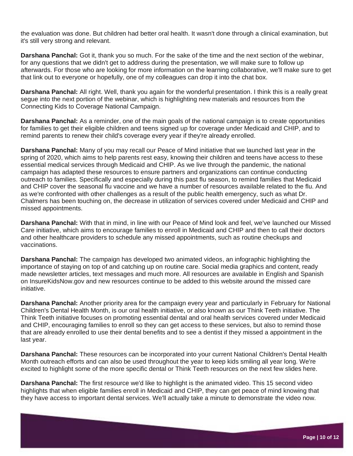the evaluation was done. But children had better oral health. It wasn't done through a clinical examination, but it's still very strong and relevant.

**Darshana Panchal:** Got it, thank you so much. For the sake of the time and the next section of the webinar, for any questions that we didn't get to address during the presentation, we will make sure to follow up afterwards. For those who are looking for more information on the learning collaborative, we'll make sure to get that link out to everyone or hopefully, one of my colleagues can drop it into the chat box.

**Darshana Panchal:** All right. Well, thank you again for the wonderful presentation. I think this is a really great segue into the next portion of the webinar, which is highlighting new materials and resources from the Connecting Kids to Coverage National Campaign.

**Darshana Panchal:** As a reminder, one of the main goals of the national campaign is to create opportunities for families to get their eligible children and teens signed up for coverage under Medicaid and CHIP, and to remind parents to renew their child's coverage every year if they're already enrolled.

**Darshana Panchal:** Many of you may recall our Peace of Mind initiative that we launched last year in the spring of 2020, which aims to help parents rest easy, knowing their children and teens have access to these essential medical services through Medicaid and CHIP. As we live through the pandemic, the national campaign has adapted these resources to ensure partners and organizations can continue conducting outreach to families. Specifically and especially during this past flu season, to remind families that Medicaid and CHIP cover the seasonal flu vaccine and we have a number of resources available related to the flu. And as we're confronted with other challenges as a result of the public health emergency, such as what Dr. Chalmers has been touching on, the decrease in utilization of services covered under Medicaid and CHIP and missed appointments.

**Darshana Panchal:** With that in mind, in line with our Peace of Mind look and feel, we've launched our Missed Care initiative, which aims to encourage families to enroll in Medicaid and CHIP and then to call their doctors and other healthcare providers to schedule any missed appointments, such as routine checkups and vaccinations.

**Darshana Panchal:** The campaign has developed two animated videos, an infographic highlighting the importance of staying on top of and catching up on routine care. Social media graphics and content, ready made newsletter articles, text messages and much more. All resources are available in English and Spanish on InsureKidsNow.gov and new resources continue to be added to this website around the missed care initiative.

**Darshana Panchal:** Another priority area for the campaign every year and particularly in February for National Children's Dental Health Month, is our oral health initiative, or also known as our Think Teeth initiative. The Think Teeth initiative focuses on promoting essential dental and oral health services covered under Medicaid and CHIP, encouraging families to enroll so they can get access to these services, but also to remind those that are already enrolled to use their dental benefits and to see a dentist if they missed a appointment in the last year.

**Darshana Panchal:** These resources can be incorporated into your current National Children's Dental Health Month outreach efforts and can also be used throughout the year to keep kids smiling all year long. We're excited to highlight some of the more specific dental or Think Teeth resources on the next few slides here.

**Darshana Panchal:** The first resource we'd like to highlight is the animated video. This 15 second video highlights that when eligible families enroll in Medicaid and CHIP, they can get peace of mind knowing that they have access to important dental services. We'll actually take a minute to demonstrate the video now.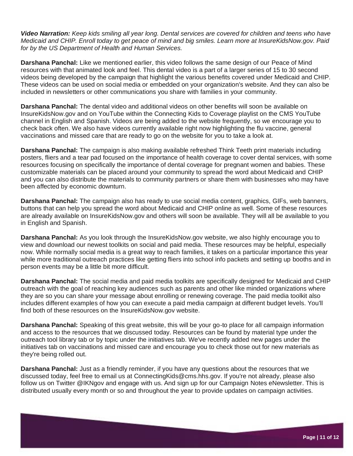*Video Narration: Keep kids smiling all year long. Dental services are covered for children and teens who have Medicaid and CHIP. Enroll today to get peace of mind and big smiles. Learn more at InsureKidsNow.gov. Paid for by the US Department of Health and Human Services.*

**Darshana Panchal:** Like we mentioned earlier, this video follows the same design of our Peace of Mind resources with that animated look and feel. This dental video is a part of a larger series of 15 to 30 second videos being developed by the campaign that highlight the various benefits covered under Medicaid and CHIP. These videos can be used on social media or embedded on your organization's website. And they can also be included in newsletters or other communications you share with families in your community.

**Darshana Panchal:** The dental video and additional videos on other benefits will soon be available on InsureKidsNow.gov and on YouTube within the Connecting Kids to Coverage playlist on the CMS YouTube channel in English and Spanish. Videos are being added to the website frequently, so we encourage you to check back often. We also have videos currently available right now highlighting the flu vaccine, general vaccinations and missed care that are ready to go on the website for you to take a look at.

**Darshana Panchal:** The campaign is also making available refreshed Think Teeth print materials including posters, fliers and a tear pad focused on the importance of health coverage to cover dental services, with some resources focusing on specifically the importance of dental coverage for pregnant women and babies. These customizable materials can be placed around your community to spread the word about Medicaid and CHIP and you can also distribute the materials to community partners or share them with businesses who may have been affected by economic downturn.

**Darshana Panchal:** The campaign also has ready to use social media content, graphics, GIFs, web banners, buttons that can help you spread the word about Medicaid and CHIP online as well. Some of these resources are already available on InsureKidsNow.gov and others will soon be available. They will all be available to you in English and Spanish.

**Darshana Panchal:** As you look through the InsureKidsNow.gov website, we also highly encourage you to view and download our newest toolkits on social and paid media. These resources may be helpful, especially now. While normally social media is a great way to reach families, it takes on a particular importance this year while more traditional outreach practices like getting fliers into school info packets and setting up booths and in person events may be a little bit more difficult.

**Darshana Panchal:** The social media and paid media toolkits are specifically designed for Medicaid and CHIP outreach with the goal of reaching key audiences such as parents and other like minded organizations where they are so you can share your message about enrolling or renewing coverage. The paid media toolkit also includes different examples of how you can execute a paid media campaign at different budget levels. You'll find both of these resources on the InsureKidsNow.gov website.

**Darshana Panchal:** Speaking of this great website, this will be your go-to place for all campaign information and access to the resources that we discussed today. Resources can be found by material type under the outreach tool library tab or by topic under the initiatives tab. We've recently added new pages under the initiatives tab on vaccinations and missed care and encourage you to check those out for new materials as they're being rolled out.

**Darshana Panchal:** Just as a friendly reminder, if you have any questions about the resources that we discussed today, feel free to email us at ConnectingKids@cms.hhs.gov. If you're not already, please also follow us on Twitter @IKNgov and engage with us. And sign up for our Campaign Notes eNewsletter. This is distributed usually every month or so and throughout the year to provide updates on campaign activities.